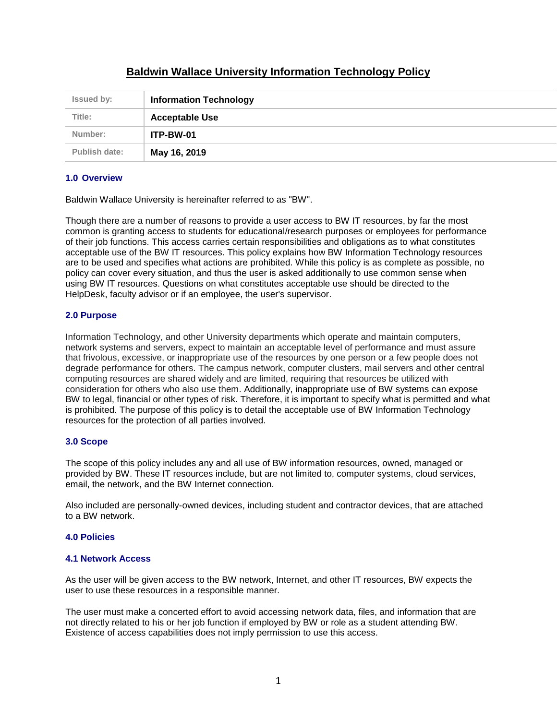| <b>Issued by:</b> | <b>Information Technology</b> |
|-------------------|-------------------------------|
| Title:            | <b>Acceptable Use</b>         |
| Number:           | ITP-BW-01                     |
| Publish date:     | May 16, 2019                  |

# **Baldwin Wallace University Information Technology Policy**

### **1.0 Overview**

Baldwin Wallace University is hereinafter referred to as "BW".

Though there are a number of reasons to provide a user access to BW IT resources, by far the most common is granting access to students for educational/research purposes or employees for performance of their job functions. This access carries certain responsibilities and obligations as to what constitutes acceptable use of the BW IT resources. This policy explains how BW Information Technology resources are to be used and specifies what actions are prohibited. While this policy is as complete as possible, no policy can cover every situation, and thus the user is asked additionally to use common sense when using BW IT resources. Questions on what constitutes acceptable use should be directed to the HelpDesk, faculty advisor or if an employee, the user's supervisor.

# **2.0 Purpose**

Information Technology, and other University departments which operate and maintain computers, network systems and servers, expect to maintain an acceptable level of performance and must assure that frivolous, excessive, or inappropriate use of the resources by one person or a few people does not degrade performance for others. The campus network, computer clusters, mail servers and other central computing resources are shared widely and are limited, requiring that resources be utilized with consideration for others who also use them. Additionally, inappropriate use of BW systems can expose BW to legal, financial or other types of risk. Therefore, it is important to specify what is permitted and what is prohibited. The purpose of this policy is to detail the acceptable use of BW Information Technology resources for the protection of all parties involved.

### **3.0 Scope**

The scope of this policy includes any and all use of BW information resources, owned, managed or provided by BW. These IT resources include, but are not limited to, computer systems, cloud services, email, the network, and the BW Internet connection.

Also included are personally-owned devices, including student and contractor devices, that are attached to a BW network.

### **4.0 Policies**

### **4.1 Network Access**

As the user will be given access to the BW network, Internet, and other IT resources, BW expects the user to use these resources in a responsible manner.

The user must make a concerted effort to avoid accessing network data, files, and information that are not directly related to his or her job function if employed by BW or role as a student attending BW. Existence of access capabilities does not imply permission to use this access.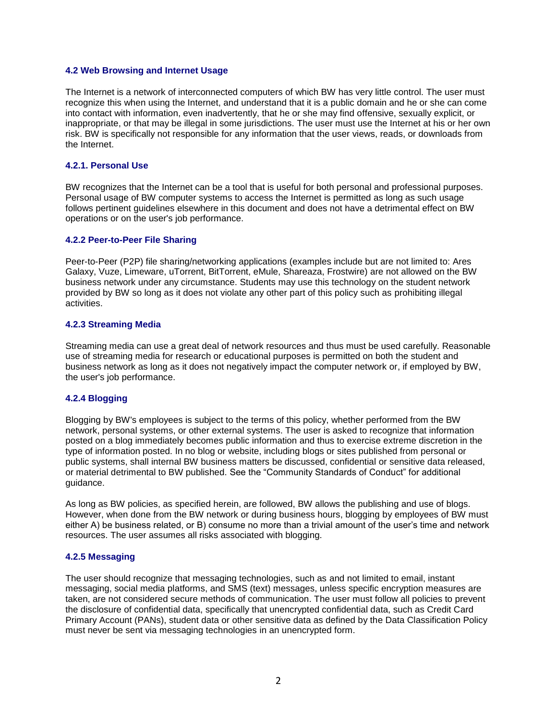### **4.2 Web Browsing and Internet Usage**

The Internet is a network of interconnected computers of which BW has very little control. The user must recognize this when using the Internet, and understand that it is a public domain and he or she can come into contact with information, even inadvertently, that he or she may find offensive, sexually explicit, or inappropriate, or that may be illegal in some jurisdictions. The user must use the Internet at his or her own risk. BW is specifically not responsible for any information that the user views, reads, or downloads from the Internet.

#### **4.2.1. Personal Use**

BW recognizes that the Internet can be a tool that is useful for both personal and professional purposes. Personal usage of BW computer systems to access the Internet is permitted as long as such usage follows pertinent guidelines elsewhere in this document and does not have a detrimental effect on BW operations or on the user's job performance.

#### **4.2.2 Peer-to-Peer File Sharing**

Peer-to-Peer (P2P) file sharing/networking applications (examples include but are not limited to: Ares Galaxy, Vuze, Limeware, uTorrent, BitTorrent, eMule, Shareaza, Frostwire) are not allowed on the BW business network under any circumstance. Students may use this technology on the student network provided by BW so long as it does not violate any other part of this policy such as prohibiting illegal activities.

#### **4.2.3 Streaming Media**

Streaming media can use a great deal of network resources and thus must be used carefully. Reasonable use of streaming media for research or educational purposes is permitted on both the student and business network as long as it does not negatively impact the computer network or, if employed by BW, the user's job performance.

### **4.2.4 Blogging**

Blogging by BW's employees is subject to the terms of this policy, whether performed from the BW network, personal systems, or other external systems. The user is asked to recognize that information posted on a blog immediately becomes public information and thus to exercise extreme discretion in the type of information posted. In no blog or website, including blogs or sites published from personal or public systems, shall internal BW business matters be discussed, confidential or sensitive data released, or material detrimental to BW published. See the "Community Standards of Conduct" for additional guidance.

As long as BW policies, as specified herein, are followed, BW allows the publishing and use of blogs. However, when done from the BW network or during business hours, blogging by employees of BW must either A) be business related, or B) consume no more than a trivial amount of the user's time and network resources. The user assumes all risks associated with blogging.

#### **4.2.5 Messaging**

The user should recognize that messaging technologies, such as and not limited to email, instant messaging, social media platforms, and SMS (text) messages, unless specific encryption measures are taken, are not considered secure methods of communication. The user must follow all policies to prevent the disclosure of confidential data, specifically that unencrypted confidential data, such as Credit Card Primary Account (PANs), student data or other sensitive data as defined by the Data Classification Policy must never be sent via messaging technologies in an unencrypted form.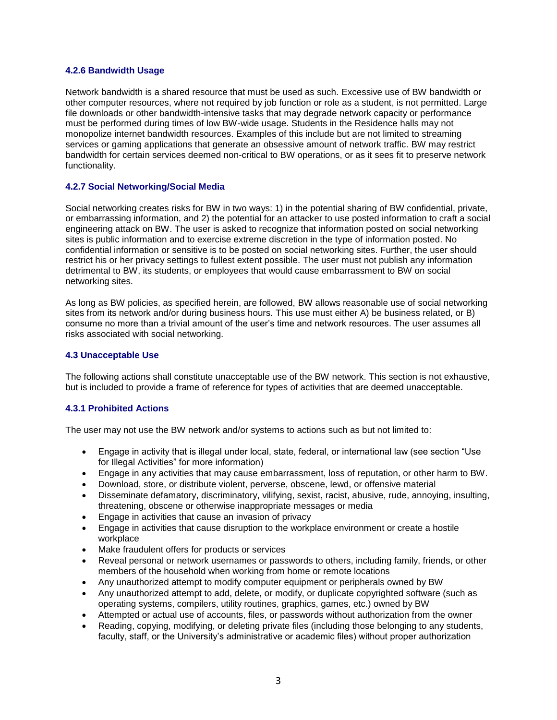### **4.2.6 Bandwidth Usage**

Network bandwidth is a shared resource that must be used as such. Excessive use of BW bandwidth or other computer resources, where not required by job function or role as a student, is not permitted. Large file downloads or other bandwidth-intensive tasks that may degrade network capacity or performance must be performed during times of low BW-wide usage. Students in the Residence halls may not monopolize internet bandwidth resources. Examples of this include but are not limited to streaming services or gaming applications that generate an obsessive amount of network traffic. BW may restrict bandwidth for certain services deemed non-critical to BW operations, or as it sees fit to preserve network functionality.

### **4.2.7 Social Networking/Social Media**

Social networking creates risks for BW in two ways: 1) in the potential sharing of BW confidential, private, or embarrassing information, and 2) the potential for an attacker to use posted information to craft a social engineering attack on BW. The user is asked to recognize that information posted on social networking sites is public information and to exercise extreme discretion in the type of information posted. No confidential information or sensitive is to be posted on social networking sites. Further, the user should restrict his or her privacy settings to fullest extent possible. The user must not publish any information detrimental to BW, its students, or employees that would cause embarrassment to BW on social networking sites.

As long as BW policies, as specified herein, are followed, BW allows reasonable use of social networking sites from its network and/or during business hours. This use must either A) be business related, or B) consume no more than a trivial amount of the user's time and network resources. The user assumes all risks associated with social networking.

### **4.3 Unacceptable Use**

The following actions shall constitute unacceptable use of the BW network. This section is not exhaustive, but is included to provide a frame of reference for types of activities that are deemed unacceptable.

### **4.3.1 Prohibited Actions**

The user may not use the BW network and/or systems to actions such as but not limited to:

- Engage in activity that is illegal under local, state, federal, or international law (see section "Use for Illegal Activities" for more information)
- Engage in any activities that may cause embarrassment, loss of reputation, or other harm to BW.
- Download, store, or distribute violent, perverse, obscene, lewd, or offensive material
- Disseminate defamatory, discriminatory, vilifying, sexist, racist, abusive, rude, annoying, insulting, threatening, obscene or otherwise inappropriate messages or media
- Engage in activities that cause an invasion of privacy
- Engage in activities that cause disruption to the workplace environment or create a hostile workplace
- Make fraudulent offers for products or services
- Reveal personal or network usernames or passwords to others, including family, friends, or other members of the household when working from home or remote locations
- Any unauthorized attempt to modify computer equipment or peripherals owned by BW
- Any unauthorized attempt to add, delete, or modify, or duplicate copyrighted software (such as operating systems, compilers, utility routines, graphics, games, etc.) owned by BW
- Attempted or actual use of accounts, files, or passwords without authorization from the owner
- Reading, copying, modifying, or deleting private files (including those belonging to any students, faculty, staff, or the University's administrative or academic files) without proper authorization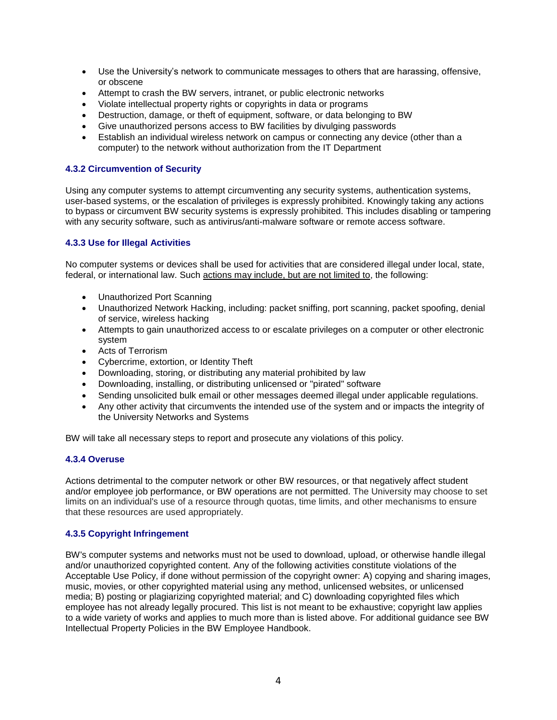- Use the University's network to communicate messages to others that are harassing, offensive, or obscene
- Attempt to crash the BW servers, intranet, or public electronic networks
- Violate intellectual property rights or copyrights in data or programs
- Destruction, damage, or theft of equipment, software, or data belonging to BW
- Give unauthorized persons access to BW facilities by divulging passwords
- Establish an individual wireless network on campus or connecting any device (other than a computer) to the network without authorization from the IT Department

### **4.3.2 Circumvention of Security**

Using any computer systems to attempt circumventing any security systems, authentication systems, user-based systems, or the escalation of privileges is expressly prohibited. Knowingly taking any actions to bypass or circumvent BW security systems is expressly prohibited. This includes disabling or tampering with any security software, such as antivirus/anti-malware software or remote access software.

# **4.3.3 Use for Illegal Activities**

No computer systems or devices shall be used for activities that are considered illegal under local, state, federal, or international law. Such actions may include, but are not limited to, the following:

- Unauthorized Port Scanning
- Unauthorized Network Hacking, including: packet sniffing, port scanning, packet spoofing, denial of service, wireless hacking
- Attempts to gain unauthorized access to or escalate privileges on a computer or other electronic system
- Acts of Terrorism
- Cybercrime, extortion, or Identity Theft
- Downloading, storing, or distributing any material prohibited by law
- Downloading, installing, or distributing unlicensed or "pirated" software
- Sending unsolicited bulk email or other messages deemed illegal under applicable regulations.
- Any other activity that circumvents the intended use of the system and or impacts the integrity of the University Networks and Systems

BW will take all necessary steps to report and prosecute any violations of this policy.

### **4.3.4 Overuse**

Actions detrimental to the computer network or other BW resources, or that negatively affect student and/or employee job performance, or BW operations are not permitted. The University may choose to set limits on an individual's use of a resource through quotas, time limits, and other mechanisms to ensure that these resources are used appropriately.

### **4.3.5 Copyright Infringement**

BW's computer systems and networks must not be used to download, upload, or otherwise handle illegal and/or unauthorized copyrighted content. Any of the following activities constitute violations of the Acceptable Use Policy, if done without permission of the copyright owner: A) copying and sharing images, music, movies, or other copyrighted material using any method, unlicensed websites, or unlicensed media; B) posting or plagiarizing copyrighted material; and C) downloading copyrighted files which employee has not already legally procured. This list is not meant to be exhaustive; copyright law applies to a wide variety of works and applies to much more than is listed above. For additional guidance see BW Intellectual Property Policies in the BW Employee Handbook.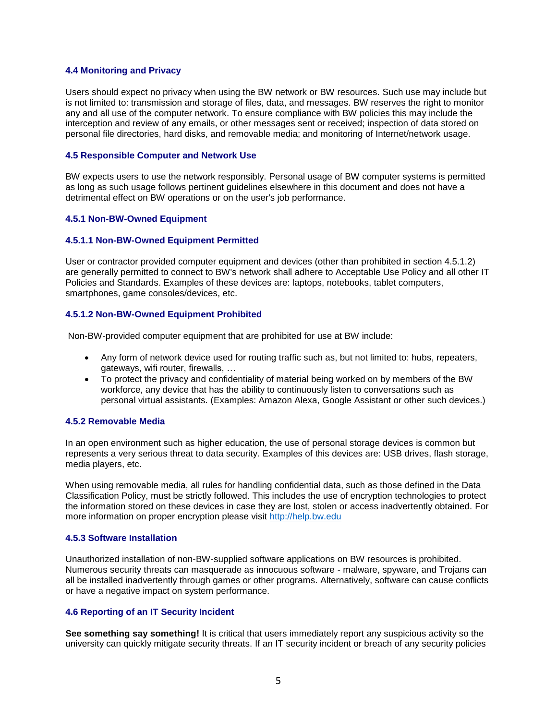### **4.4 Monitoring and Privacy**

Users should expect no privacy when using the BW network or BW resources. Such use may include but is not limited to: transmission and storage of files, data, and messages. BW reserves the right to monitor any and all use of the computer network. To ensure compliance with BW policies this may include the interception and review of any emails, or other messages sent or received; inspection of data stored on personal file directories, hard disks, and removable media; and monitoring of Internet/network usage.

### **4.5 Responsible Computer and Network Use**

BW expects users to use the network responsibly. Personal usage of BW computer systems is permitted as long as such usage follows pertinent guidelines elsewhere in this document and does not have a detrimental effect on BW operations or on the user's job performance.

### **4.5.1 Non-BW-Owned Equipment**

#### **4.5.1.1 Non-BW-Owned Equipment Permitted**

User or contractor provided computer equipment and devices (other than prohibited in section 4.5.1.2) are generally permitted to connect to BW's network shall adhere to Acceptable Use Policy and all other IT Policies and Standards. Examples of these devices are: laptops, notebooks, tablet computers, smartphones, game consoles/devices, etc.

### **4.5.1.2 Non-BW-Owned Equipment Prohibited**

Non-BW-provided computer equipment that are prohibited for use at BW include:

- Any form of network device used for routing traffic such as, but not limited to: hubs, repeaters, gateways, wifi router, firewalls, …
- To protect the privacy and confidentiality of material being worked on by members of the BW workforce, any device that has the ability to continuously listen to conversations such as personal virtual assistants. (Examples: Amazon Alexa, Google Assistant or other such devices.)

#### **4.5.2 Removable Media**

In an open environment such as higher education, the use of personal storage devices is common but represents a very serious threat to data security. Examples of this devices are: USB drives, flash storage, media players, etc.

When using removable media, all rules for handling confidential data, such as those defined in the Data Classification Policy, must be strictly followed. This includes the use of encryption technologies to protect the information stored on these devices in case they are lost, stolen or access inadvertently obtained. For more information on proper encryption please visit [http://help.bw.edu](http://help.bw.edu/)

#### **4.5.3 Software Installation**

Unauthorized installation of non-BW-supplied software applications on BW resources is prohibited. Numerous security threats can masquerade as innocuous software - malware, spyware, and Trojans can all be installed inadvertently through games or other programs. Alternatively, software can cause conflicts or have a negative impact on system performance.

### **4.6 Reporting of an IT Security Incident**

**See something say something!** It is critical that users immediately report any suspicious activity so the university can quickly mitigate security threats. If an IT security incident or breach of any security policies